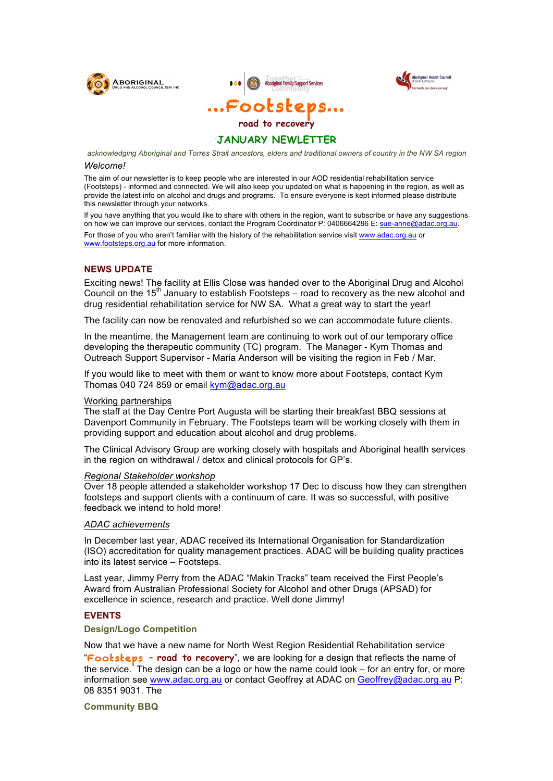



**Aboriginal Health Council** 

# **JANUARY NEWLETTER**

*acknowledging Aboriginal and Torres Strait ancestors, elders and traditional owners of country in the NW SA region*

#### *Welcome!*

The aim of our newsletter is to keep people who are interested in our AOD residential rehabilitation service (Footsteps) - informed and connected. We will also keep you updated on what is happening in the region, as well as provide the latest info on alcohol and drugs and programs. To ensure everyone is kept informed please distribute this newsletter through your networks.

If you have anything that you would like to share with others in the region, want to subscribe or have any suggestions on how we can improve our services, contact the Program Coordinator P: 0406664286 E: sue-anne@adac.org.au.

For those of you who aren't familiar with the history of the rehabilitation service visit www.adac.org.au or www.footsteps.org.au for more information.

## **NEWS UPDATE**

Exciting news! The facility at Ellis Close was handed over to the Aboriginal Drug and Alcohol Council on the  $15<sup>th</sup>$  January to establish Footsteps – road to recovery as the new alcohol and drug residential rehabilitation service for NW SA. What a great way to start the year!

The facility can now be renovated and refurbished so we can accommodate future clients.

In the meantime, the Management team are continuing to work out of our temporary office developing the therapeutic community (TC) program. The Manager - Kym Thomas and Outreach Support Supervisor - Maria Anderson will be visiting the region in Feb / Mar.

If you would like to meet with them or want to know more about Footsteps, contact Kym Thomas 040 724 859 or email kym@adac.org.au

### Working partnerships

The staff at the Day Centre Port Augusta will be starting their breakfast BBQ sessions at Davenport Community in February. The Footsteps team will be working closely with them in providing support and education about alcohol and drug problems.

The Clinical Advisory Group are working closely with hospitals and Aboriginal health services in the region on withdrawal / detox and clinical protocols for GP's.

#### *Regional Stakeholder workshop*

Over 18 people attended a stakeholder workshop 17 Dec to discuss how they can strengthen footsteps and support clients with a continuum of care. It was so successful, with positive feedback we intend to hold more!

## *ADAC achievements*

In December last year, ADAC received its International Organisation for Standardization (ISO) accreditation for quality management practices. ADAC will be building quality practices into its latest service – Footsteps.

Last year, Jimmy Perry from the ADAC "Makin Tracks" team received the First People's Award from Australian Professional Society for Alcohol and other Drugs (APSAD) for excellence in science, research and practice. Well done Jimmy!

## **EVENTS**

### **Design/Logo Competition**

Now that we have a new name for North West Region Residential Rehabilitation service "Footsteps **– road to recovery**", we are looking for a design that reflects the name of the service. The design can be a logo or how the name could look – for an entry for, or more information see www.adac.org.au or contact Geoffrey at ADAC on Geoffrey@adac.org.au P: 08 8351 9031. The

**Community BBQ**